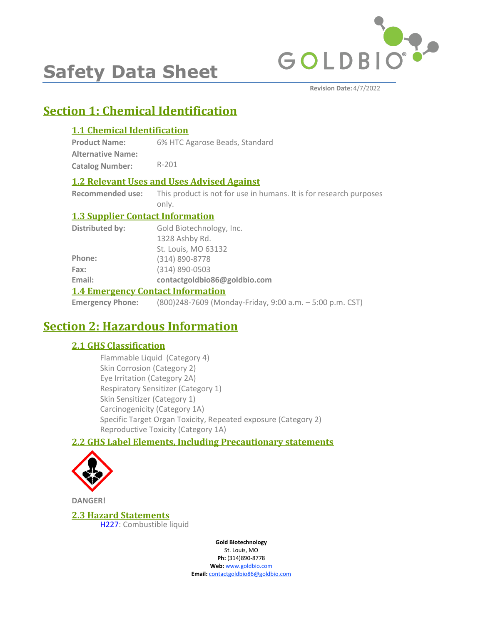

# **Safety Data Sheet**

# **Section 1: Chemical Identification**

# **1.1 Chemical Identification**

**Product Name:** 6% HTC Agarose Beads, Standard

**Alternative Name: Catalog Number:** R-201

### **1.2 Relevant Uses and Uses Advised Against**

**Recommended use:** This product is not for use in humans. It is for research purposes only.

### **1.3 Supplier Contact Information**

|                 | 1.4 Emangement Contact Information |
|-----------------|------------------------------------|
| Email:          | contactgoldbio86@goldbio.com       |
| Fax:            | $(314) 890 - 0503$                 |
| Phone:          | (314) 890-8778                     |
|                 | St. Louis, MO 63132                |
|                 | 1328 Ashby Rd.                     |
| Distributed by: | Gold Biotechnology, Inc.           |

### **1.4 Emergency Contact Information**

**Emergency Phone:** (800)248-7609 (Monday-Friday, 9:00 a.m. – 5:00 p.m. CST)

# **Section 2: Hazardous Information**

# **2.1 GHS Classification**

Flammable Liquid (Category 4) Skin Corrosion (Category 2) Eye Irritation (Category 2A) Respiratory Sensitizer (Category 1) Skin Sensitizer (Category 1) Carcinogenicity (Category 1A) Specific Target Organ Toxicity, Repeated exposure (Category 2) Reproductive Toxicity (Category 1A)

# **2.2 GHS Label Elements, Including Precautionary statements**



**DANGER!**

**2.3 Hazard Statements** H227: Combustible liquid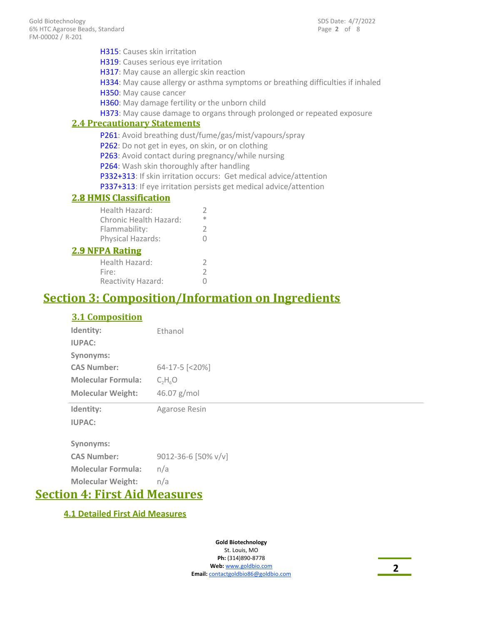| <b>H315</b> : Causes skin irritation               |                                                                                 |
|----------------------------------------------------|---------------------------------------------------------------------------------|
| H319: Causes serious eye irritation                |                                                                                 |
| H317: May cause an allergic skin reaction          |                                                                                 |
|                                                    | H334: May cause allergy or asthma symptoms or breathing difficulties if inhaled |
| H350: May cause cancer                             |                                                                                 |
| H360: May damage fertility or the unborn child     |                                                                                 |
|                                                    | H373: May cause damage to organs through prolonged or repeated exposure         |
| <b>2.4 Precautionary Statements</b>                |                                                                                 |
|                                                    | P261: Avoid breathing dust/fume/gas/mist/vapours/spray                          |
| P262: Do not get in eyes, on skin, or on clothing  |                                                                                 |
| P263: Avoid contact during pregnancy/while nursing |                                                                                 |
| P264: Wash skin thoroughly after handling          |                                                                                 |
|                                                    | P332+313: If skin irritation occurs: Get medical advice/attention               |
|                                                    | P337+313: If eye irritation persists get medical advice/attention               |
| <b>2.8 HMIS Classification</b>                     |                                                                                 |
| Health Hazard:                                     | 2                                                                               |
| Chronic Health Hazard:                             | ∗                                                                               |
| Flammability:                                      | 2                                                                               |
| Physical Hazards:                                  | O                                                                               |
| <b>2.9 NFPA Rating</b>                             |                                                                                 |
|                                                    |                                                                                 |

# Health Hazard: 2<br>Fire: 2 Fire: 2<br>Reactivity Hazard: 0 Reactivity Hazard:

# **Section 3: Composition/Information on Ingredients**

# **3.1 Composition**

| Identity:                 | Ethanol                              |
|---------------------------|--------------------------------------|
| <b>IUPAC:</b>             |                                      |
| Synonyms:                 |                                      |
| <b>CAS Number:</b>        | $64 - 17 - 5$ $\lfloor 20\% \rfloor$ |
| <b>Molecular Formula:</b> | $C_2H_6O$                            |
| <b>Molecular Weight:</b>  | 46.07 $g/mol$                        |
|                           |                                      |
| Identity:                 | Agarose Resin                        |
| <b>IUPAC:</b>             |                                      |
|                           |                                      |
| Synonyms:                 |                                      |
| <b>CAS Number:</b>        | 9012-36-6 [50% v/v]                  |
| <b>Molecular Formula:</b> | n/a                                  |

# **Section 4: First Aid Measures**

# **4.1 Detailed First Aid Measures**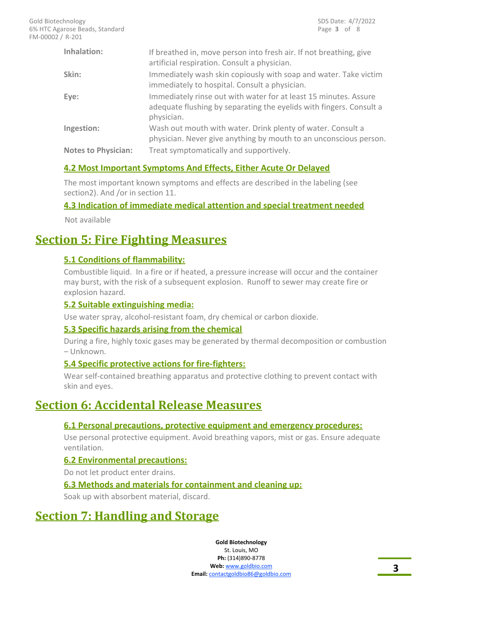| Inhalation:                | If breathed in, move person into fresh air. If not breathing, give<br>artificial respiration. Consult a physician.                                    |
|----------------------------|-------------------------------------------------------------------------------------------------------------------------------------------------------|
| Skin:                      | Immediately wash skin copiously with soap and water. Take victim<br>immediately to hospital. Consult a physician.                                     |
| Eye:                       | Immediately rinse out with water for at least 15 minutes. Assure<br>adequate flushing by separating the eyelids with fingers. Consult a<br>physician. |
| Ingestion:                 | Wash out mouth with water. Drink plenty of water. Consult a<br>physician. Never give anything by mouth to an unconscious person.                      |
| <b>Notes to Physician:</b> | Treat symptomatically and supportively.                                                                                                               |

### **4.2 Most Important Symptoms And Effects, Either Acute Or Delayed**

The most important known symptoms and effects are described in the labeling (see section2). And /or in section 11.

### **4.3 Indication of immediate medical attention and special treatment needed**

Not available

# **Section 5: Fire Fighting Measures**

### **5.1 Conditions of flammability:**

Combustible liquid. In a fire or if heated, a pressure increase will occur and the container may burst, with the risk of a subsequent explosion. Runoff to sewer may create fire or explosion hazard.

### **5.2 Suitable extinguishing media:**

Use water spray, alcohol-resistant foam, dry chemical or carbon dioxide.

### **5.3 Specific hazards arising from the chemical**

During a fire, highly toxic gases may be generated by thermal decomposition or combustion – Unknown.

### **5.4 Specific protective actions for fire-fighters:**

Wear self-contained breathing apparatus and protective clothing to prevent contact with skin and eyes.

# **Section 6: Accidental Release Measures**

### **6.1 Personal precautions, protective equipment and emergency procedures:**

Use personal protective equipment. Avoid breathing vapors, mist or gas. Ensure adequate ventilation.

#### **6.2 Environmental precautions:**

Do not let product enter drains.

### **6.3 Methods and materials for containment and cleaning up:**

Soak up with absorbent material, discard.

# **Section 7: Handling and Storage**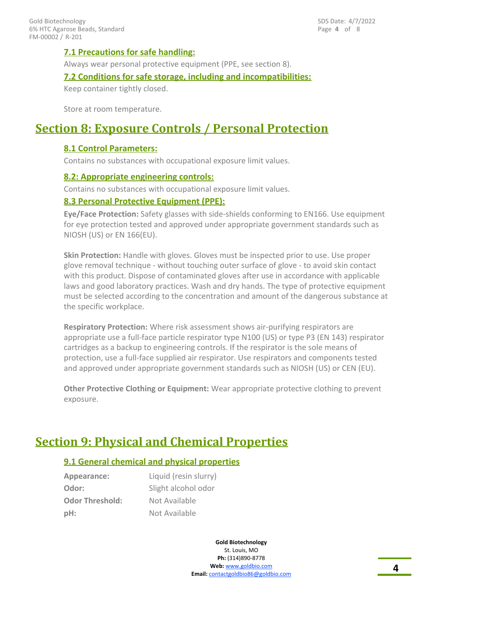### **7.1 Precautions for safe handling:**

Always wear personal protective equipment (PPE, see section 8).

#### **7.2 Conditions for safe storage, including and incompatibilities:**

Keep container tightly closed.

Store at room temperature.

# **Section 8: Exposure Controls / Personal Protection**

#### **8.1 Control Parameters:**

Contains no substances with occupational exposure limit values.

#### **8.2: Appropriate engineering controls:**

Contains no substances with occupational exposure limit values.

#### **8.3 Personal Protective Equipment (PPE):**

**Eye/Face Protection:** Safety glasses with side-shields conforming to EN166. Use equipment for eye protection tested and approved under appropriate government standards such as NIOSH (US) or EN 166(EU).

**Skin Protection:** Handle with gloves. Gloves must be inspected prior to use. Use proper glove removal technique - without touching outer surface of glove - to avoid skin contact with this product. Dispose of contaminated gloves after use in accordance with applicable laws and good laboratory practices. Wash and dry hands. The type of protective equipment must be selected according to the concentration and amount of the dangerous substance at the specific workplace.

**Respiratory Protection:** Where risk assessment shows air-purifying respirators are appropriate use a full-face particle respirator type N100 (US) or type P3 (EN 143) respirator cartridges as a backup to engineering controls. If the respirator is the sole means of protection, use a full-face supplied air respirator. Use respirators and components tested and approved under appropriate government standards such as NIOSH (US) or CEN (EU).

**Other Protective Clothing or Equipment:** Wear appropriate protective clothing to prevent exposure.

# **Section 9: Physical and Chemical Properties**

### **9.1 General chemical and physical properties**

| Appearance:            | Liquid (resin slurry) |
|------------------------|-----------------------|
| Odor:                  | Slight alcohol odor   |
| <b>Odor Threshold:</b> | Not Available         |
| pH:                    | Not Available         |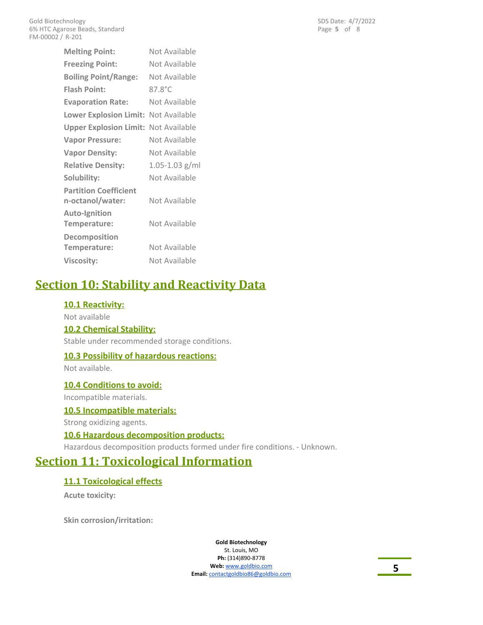| <b>Melting Point:</b>                       | Not Available      |
|---------------------------------------------|--------------------|
| <b>Freezing Point:</b>                      | Not Available      |
| <b>Boiling Point/Range:</b>                 | Not Available      |
| <b>Flash Point:</b>                         | $87.8^{\circ}$ C   |
| <b>Evaporation Rate:</b>                    | Not Available      |
| <b>Lower Explosion Limit:</b>               | Not Available      |
| <b>Upper Explosion Limit: Not Available</b> |                    |
| <b>Vapor Pressure:</b>                      | Not Available      |
| <b>Vapor Density:</b>                       | Not Available      |
| <b>Relative Density:</b>                    | $1.05 - 1.03$ g/ml |
| Solubility:                                 | Not Available      |
| <b>Partition Coefficient</b>                |                    |
| n-octanol/water:                            | Not Available      |
| <b>Auto-Ignition</b>                        | Not Available      |
| Temperature:                                |                    |
| Decomposition<br>Temperature:               | Not Available      |
|                                             |                    |
| <b>Viscosity:</b>                           | Not Available      |

# **Section 10: Stability and Reactivity Data**

### **10.1 Reactivity:**

Not available **10.2 Chemical Stability:**

Stable under recommended storage conditions.

### **10.3 Possibility of hazardous reactions:**

Not available.

### **10.4 Conditions to avoid:**

Incompatible materials.

### **10.5 Incompatible materials:**

Strong oxidizing agents.

### **10.6 Hazardous decomposition products:**

Hazardous decomposition products formed under fire conditions. - Unknown.

# **Section 11: Toxicological Information**

# **11.1 Toxicological effects**

**Acute toxicity:**

**Skin corrosion/irritation:**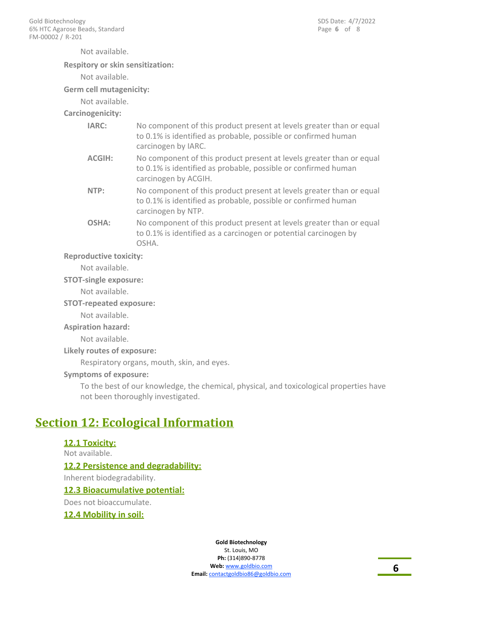Not available.

#### **Respitory or skin sensitization:**

Not available.

**Germ cell mutagenicity:**

Not available.

**Carcinogenicity:**

| IARC:         | No component of this product present at levels greater than or equal<br>to 0.1% is identified as probable, possible or confirmed human<br>carcinogen by IARC.  |
|---------------|----------------------------------------------------------------------------------------------------------------------------------------------------------------|
| <b>ACGIH:</b> | No component of this product present at levels greater than or equal<br>to 0.1% is identified as probable, possible or confirmed human<br>carcinogen by ACGIH. |
| NTP:          | No component of this product present at levels greater than or equal<br>to 0.1% is identified as probable, possible or confirmed human<br>carcinogen by NTP.   |
| OSHA:         | No component of this product present at levels greater than or equal<br>to 0.1% is identified as a carcinogen or potential carcinogen by<br>OSHA.              |

#### **Reproductive toxicity:**

Not available.

#### **STOT-single exposure:**

Not available.

#### **STOT-repeated exposure:**

Not available.

#### **Aspiration hazard:**

Not available.

#### **Likely routes of exposure:**

Respiratory organs, mouth, skin, and eyes.

#### **Symptoms of exposure:**

To the best of our knowledge, the chemical, physical, and toxicological properties have not been thoroughly investigated.

# **Section 12: Ecological Information**

# **12.1 Toxicity:** Not available. **12.2 Persistence and degradability:** Inherent biodegradability. **12.3 Bioacumulative potential:**

Does not bioaccumulate.

#### **12.4 Mobility in soil:**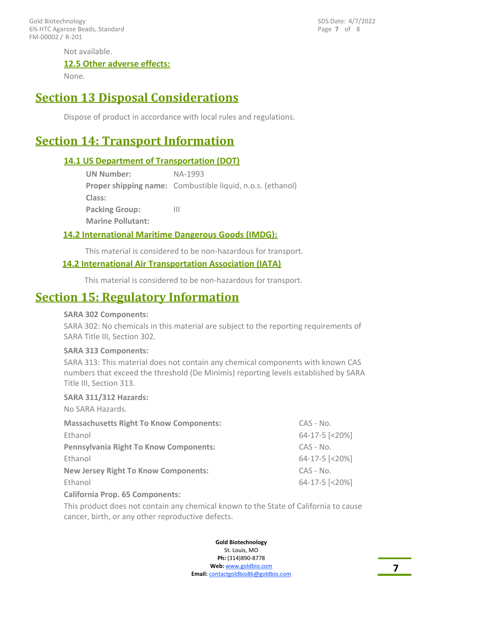FM-00002 / R-201 Gold Biotechnology 6% HTC Agarose Beads, Standard Page **7** of 8 SDS Date: 4/7/2022

Not available.

#### **12.5 Other adverse effects:**

None.

# **Section 13 Disposal Considerations**

Dispose of product in accordance with local rules and regulations.

# **Section 14: Transport Information**

#### **14.1 US Department of Transportation (DOT)**

| <b>UN Number:</b>        | NA-1993                                                           |
|--------------------------|-------------------------------------------------------------------|
|                          | <b>Proper shipping name:</b> Combustible liquid, n.o.s. (ethanol) |
| Class:                   |                                                                   |
| <b>Packing Group:</b>    | Ш                                                                 |
| <b>Marine Pollutant:</b> |                                                                   |

#### **14.2 International Maritime Dangerous Goods (IMDG):**

This material is considered to be non-hazardous for transport.

### **14.2 International Air Transportation Association (IATA)**

This material is considered to be non-hazardous for transport.

# **Section 15: Regulatory Information**

#### **SARA 302 Components:**

SARA 302: No chemicals in this material are subject to the reporting requirements of SARA Title III, Section 302.

#### **SARA 313 Components:**

SARA 313: This material does not contain any chemical components with known CAS numbers that exceed the threshold (De Minimis) reporting levels established by SARA Title III, Section 313.

#### **SARA 311/312 Hazards:**

| No SARA Hazards.                               |                |
|------------------------------------------------|----------------|
| <b>Massachusetts Right To Know Components:</b> | $CAS - No.$    |
| Ethanol                                        | 64-17-5 [<20%] |
| Pennsylvania Right To Know Components:         | $CAS - No.$    |
| Ethanol                                        | 64-17-5 [<20%] |
| <b>New Jersey Right To Know Components:</b>    | $CAS - No.$    |
| Ethanol                                        | 64-17-5 [<20%] |
| California Duais, CE Companiontor              |                |

#### **California Prop. 65 Components:**

This product does not contain any chemical known to the State of California to cause cancer, birth, or any other reproductive defects.